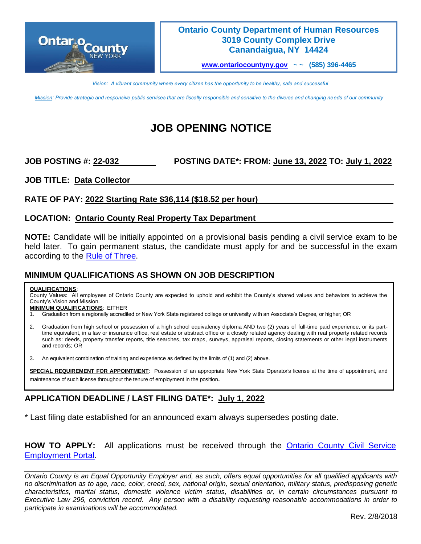

### **Ontario County Department of Human Resources 3019 County Complex Drive Canandaigua, NY 14424**

**[www.ontariocountyny.gov](http://www.ontariocountyny.gov/) ~ ~ (585) 396-4465**

*Vision: A vibrant community where every citizen has the opportunity to be healthy, safe and successful*

*Mission: Provide strategic and responsive public services that are fiscally responsible and sensitive to the diverse and changing needs of our community*

# **JOB OPENING NOTICE**

### **JOB POSTING #: 22-032 POSTING DATE\*: FROM: June 13, 2022 TO: July 1, 2022**

**JOB TITLE: Data Collector** 

### **RATE OF PAY: 2022 Starting Rate \$36,114 (\$18.52 per hour)**

### **LOCATION: Ontario County Real Property Tax Department**

**NOTE:** Candidate will be initially appointed on a provisional basis pending a civil service exam to be held later. To gain permanent status, the candidate must apply for and be successful in the exam according to the [Rule of Three.](https://www.co.ontario.ny.us/DocumentCenter/View/18728/THE_RULE_OF_THREE)

### **MINIMUM QUALIFICATIONS AS SHOWN ON JOB DESCRIPTION**

### **QUALIFICATIONS**:

County Values: All employees of Ontario County are expected to uphold and exhibit the County's shared values and behaviors to achieve the County's Vision and Mission.

### **MINIMUM QUALIFICATIONS**: EITHER

- 1. Graduation from a regionally accredited or New York State registered college or university with an Associate's Degree, or higher; OR
- 2. Graduation from high school or possession of a high school equivalency diploma AND two (2) years of full-time paid experience, or its parttime equivalent, in a law or insurance office, real estate or abstract office or a closely related agency dealing with real property related records such as: deeds, property transfer reports, title searches, tax maps, surveys, appraisal reports, closing statements or other legal instruments and records; OR
- 3. An equivalent combination of training and experience as defined by the limits of (1) and (2) above.

**SPECIAL REQUIREMENT FOR APPOINTMENT**: Possession of an appropriate New York State Operator's license at the time of appointment, and maintenance of such license throughout the tenure of employment in the position.

## **APPLICATION DEADLINE / LAST FILING DATE\*: July 1, 2022**

\* Last filing date established for an announced exam always supersedes posting date.

**HOW TO APPLY:** All applications must be received through the [Ontario County Civil Service](https://ontario-portal.mycivilservice.com/)  [Employment Portal.](https://ontario-portal.mycivilservice.com/)

*Ontario County is an Equal Opportunity Employer and, as such, offers equal opportunities for all qualified applicants with no discrimination as to age, race, color, creed, sex, national origin, sexual orientation, military status, predisposing genetic characteristics, marital status, domestic violence victim status, disabilities or, in certain circumstances pursuant to Executive Law 296, conviction record. Any person with a disability requesting reasonable accommodations in order to participate in examinations will be accommodated.*